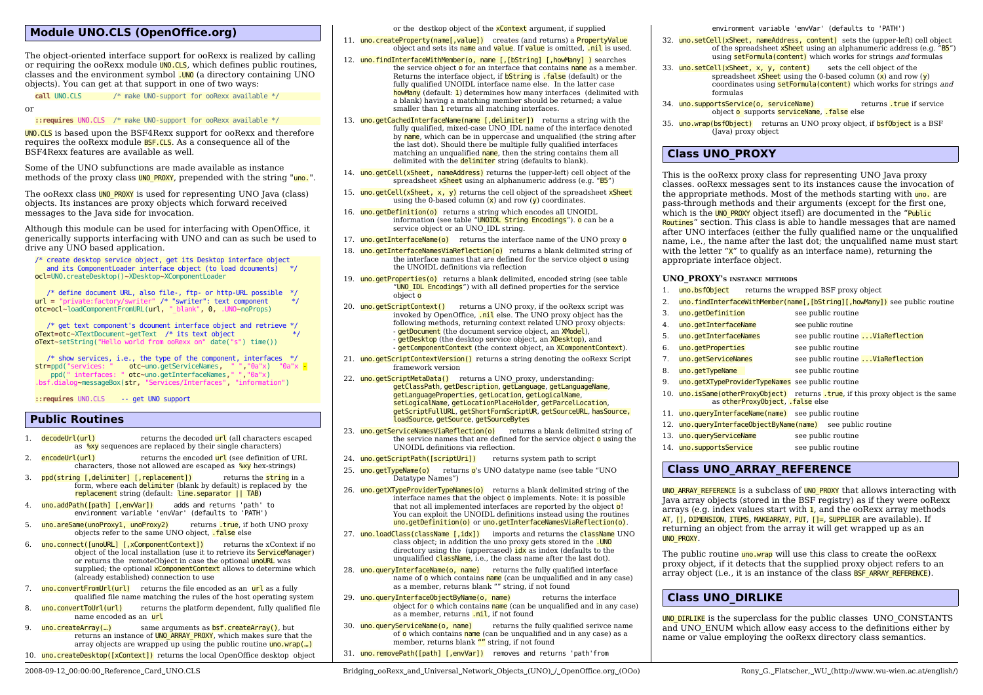## **Module UNO.CLS (OpenOffice.org)**

The object-oriented interface support for ooRexx is realized by calling or requiring the ooRexx module **UNO.CLS**, which defines public routines, classes and the environment symbol .UNO (a directory containing UNO objects). You can get at that support in one of two ways:

**call** UNO.CLS /\* make UNO-support for ooRexx available \*/

or

**::requires** UNO.CLS /\* make UNO-support for ooRexx available \*/

UNO.CLS is based upon the BSF4Rexx support for ooRexx and therefore requires the ooRexx module BSF.CLS. As a consequence all of the BSF4Rexx features are available as well.

Some of the UNO subfunctions are made available as instance methods of the proxy class UNO PROXY, prepended with the string "uno.".

The ooRexx class **UNO\_PROXY** is used for representing UNO Java (class) objects. Its instances are proxy objects which forward received messages to the Java side for invocation.

Although this module can be used for interfacing with OpenOffice, it generically supports interfacing with UNO and can as such be used to drive any UNO based application.

/\* create desktop service object, get its Desktop interface object and its ComponentLoader interface object (to load dcouments) \*/ ocl**=**UNO.createDesktop()**~**XDesktop**~**XComponentLoader

 /\* define document URL, also file-, ftp- or http-URL possible \*/ url **=** "private:factory/swriter" /\* "swriter": text component \*/ otc**=**ocl**~**loadComponentFromURL(url**,** "\_blank"**,** 0**,** .UNO**~**noProps)

 /\* get text component's dcoument interface object and retrieve \*/ oText**=**otc**~**XTextDocument**~**getText /\* its text object \*/ oText**~**setString("Hello world from ooRexx on" date("s") time())

 $/*$  show services, i.e., the type of the component, interfaces  $*/$ str**=**ppd("services: " otc**~**uno.getServiceNames**,** " "**,**"0a"x) "0a"x - ppd(" interfaces: " otc**~**uno.getInterfaceNames**,**" "**,**"0a"x) .bsf.dialog**~**messageBox(str**,** "Services/Interfaces"**,** "information")

**::requires** UNO.CLS -- get UNO support

### **Public Routines**

- 1. **decodeUrl(url)** returns the decoded url (all characters escaped as %xy sequences are replaced by their single characters)
- 2. **encodeUrl(url)** returns the encoded **url** (see definition of URL characters, those not allowed are escaped as %xy hex-strings)
- **ppd(string [,delimiter] [,replacement])** returns the **string** in a form, where each **delimiter** (blank by default) is replaced by the replacement string (default: line.separator || TAB)
- 4. uno.addPath([path] [,envVar]) adds and returns 'path' to environment variable 'envVar' (defaults to 'PATH')
- 5. uno.areSame(unoProxy1, unoProxy2) returns .true, if both UNO proxy objects refer to the same UNO object, .false else
- 6. uno.connect([unoURL] [,xComponentContext]) returns the xContext if no object of the local installation (use it to retrieve its ServiceManager) or returns the remoteObject in case the optional unoURL was supplied; the optional **xComponentContext** allows to determine which (already established) connection to use
- uno.convertFromUrl(url) returns the file encoded as an url as a fully qualified file name matching the rules of the host operating system
- 8. uno.convertToUrl(url) returns the platform dependent, fully qualified file name encoded as an url
- 9.  $\frac{uno.createArray(...)}{...}$  same arguments as **bsf.createArray()**, but returns an instance of **UNO\_ARRAY\_PROXY**, which makes sure that the array objects are wrapped up using the public routine  $\frac{\ln 1}{\ln 1}$
- 10. uno.createDesktop([xContext]) returns the local OpenOffice desktop object

or the destkop object of the **xContext** argument, if supplied

- 11. uno.createProperty(name[,value]) creates (and returns) a PropertyValue object and sets its name and value. If value is omitted, .nil is used.
- 12. uno.findInterfaceWithMember(o, name [,[bString] [,howMany] ) searches the service object o for an interface that contains name as a member. Returns the interface object, if **bString** is **.false** (default) or the fully qualified UNOIDL interface name else. In the latter case howMany (default: 1) determines how many interfaces (delimited with a blank) having a matching member should be returned; a value smaller than 1 returns all matching interfaces.
- 13. uno.getCachedInterfaceName(name [,delimiter]) returns a string with the fully qualified, mixed-case UNO\_IDL name of the interface denoted by  $name$ , which can be in uppercase and unqualified (the string after the last dot). Should there be multiple fully qualified interfaces matching an unqualified name, then the string contains them all delimited with the **delimiter** string (defaults to blank).
- 14. uno.getCell(xSheet, nameAddress) returns the (upper-left) cell object of the spreadsheet xSheet using an alphanumeric address (e.g. "B5")
- 15. uno.getCell(xSheet, x, y) returns the cell object of the spreadsheet  $xS$ heet using the 0-based column  $(x)$  and row  $(y)$  coordinates.
- 16. uno.getDefinition(o) returns a string which encodes all UNOIDL information (see table "UNOIDL String Encodings"). o can be a service object or an UNO\_IDL string.
- 17. uno.getInterfaceName(o) returns the interface name of the UNO proxy o
- 18. uno.getInterfaceNamesViaReflection(o) returns a blank delimited string of the interface names that are defined for the service object  $\sigma$  using the UNOIDL definitions via reflection
- 19. uno.getProperties(o) returns a blank delimited, encoded string (see table "UNO IDL Encodings") with all defined properties for the service object o
- 20. uno.getScriptContext() returns a UNO proxy, if the ooRexx script was invoked by OpenOffice, .nil else. The UNO proxy object has the following methods, returning context related UNO proxy objects: - **getDocument** (the document service object, an **XModel**), - getDesktop (the desktop service object, an XDesktop), and - **getComponentContext** (the context object, an **XComponentContext**).
- 21. uno.getScriptContextVersion() returns a string denoting the ooRexx Script framework version
- 22. uno.getScriptMetaData() returns a UNO proxy, understanding: getClassPath, getDescription, getLanguage, getLanguageName, getLanguageProperties, getLocation, getLogicalName, setLogicalName, getLocationPlaceHolder, getParcelLocation, getScriptFullURL, getShortFormScriptUR, getSourceURL, hasSource, loadSource, getSource, getSourceBytes
- 23. uno.getServiceNamesViaReflection(o) returns a blank delimited string of the service names that are defined for the service object  $\overline{o}$  using the UNOIDL definitions via reflection.
- 24. uno.getScriptPath([scriptUri]) returns system path to script
- 25. uno.getTypeName(o) returns o's UNO datatype name (see table "UNO Datatype Names")
- 26. uno.getXTypeProviderTypeNames(o) returns a blank delimited string of the interface names that the object  $\sigma$  implements. Note: it is possible that not all implemented interfaces are reported by the object  $\overline{o}$ ! You can exploit the UNOIDL definitions instead using the routines uno.getDefinition(o) or uno.getInterfaceNamesViaReflection(o).
- 27. uno.loadClass(className [,idx]) imports and returns the className UNO class object; in addition the uno proxy gets stored in the .UNO directory using the (uppercased) idx as index (defaults to the unqualified **className**, i.e., the class name after the last dot).
- 28. uno.queryInterfaceName(o, name) returns the fully qualified interface name of  $\overline{o}$  which contains name (can be unqualified and in any case) as a member, returns blank "" string, if not found
- 29. uno.queryInterfaceObjectByName(o. name) returns the interface object for o which contains name (can be unqualified and in any case) as a member, returns .nil, if not found
- 30. uno.queryServiceName(o, name) returns the fully qualified serivce name of  $\sigma$  which contains name (can be unqualified and in any case) as a member, returns blank "" string, if not found
- 31. uno.removePath([path] [,envVar]) removes and returns 'path'from

environment variable 'envVar' (defaults to 'PATH')

- 32. uno.setCell(xSheet, nameAddress, content) sets the (upper-left) cell object of the spreadsheet xSheet using an alphanumeric address (e.g. "B5") using setFormula(content) which works for strings and formulas
- 33. uno.setCell(xSheet, x, y, content) sets the cell object of the spreadsheet  $x$ Sheet using the 0-based column  $(x)$  and row  $(y)$ coordinates using **setFormula(content)** which works for strings and formulas
- 34. uno.supportsService(o, serviceName) returns .true if service object o supports serviceName, .false else
- 35. uno.wrap(bsf0bject) returns an UNO proxy object, if **bsf0bject** is a BSF (Java) proxy object

## **Class UNO\_PROXY**

This is the ooRexx proxy class for representing UNO Java proxy classes. ooRexx messages sent to its instances cause the invocation of the appropriate methods. Most of the methods starting with uno. are pass-through methods and their arguments (except for the first one, which is the UNO PROXY object itsefl) are documented in the "Public Routines" section. This class is able to handle messages that are named after UNO interfaces (either the fully qualified name or the unqualified name, i.e., the name after the last dot; the unqualified name must start with the letter  $\mathbf{x}^n$  to qualify as an interface name), returning the appropriate interface object.

#### **UNO\_PROXY'<sup>S</sup> INSTANCE METHODS**

- 1. uno.bsf0bject returns the wrapped BSF proxy object
- 2. uno.findInterfaceWithMember(name[,[bString][,howMany]) see public routine
- 3. uno.getDefinition see public routine 4. uno.getInterfaceName see public routine
- 5. uno.getInterfaceNames see public routine ...ViaReflection
- 6. uno.getProperties see public routine
- 7. uno.getServiceNames see public routine ...ViaReflection
- 8. uno.getTypeName see public routine
- 9. uno.getXTypeProviderTypeNames see public routine
- 10. uno.isSame(otherProxyObject) returns .true, if this proxy object is the same as otherProxyObject, .false else
- 11. uno.queryInterfaceName(name) see public routine
- 12. uno.queryInterfaceObjectByName(name) see public routine
- 13. uno.queryServiceName see public routine
- 14. uno.supportsService see public routine

### **Class UNO\_ARRAY\_REFERENCE**

UNO ARRAY REFERENCE is a subclass of UNO PROXY that allows interacting with Java array objects (stored in the BSF registry) as if they were ooRexx arrays (e.g. index values start with  $\mathbf{1}$ , and the ooRexx array methods AT, [], DIMENSION, ITEMS, MAKEARRAY, PUT, []=, SUPPLIER are available). If returning an object from the array it will get wrapped up as an UNO\_PROXY.

The public routine **uno.wrap** will use this class to create the ooRexx proxy object, if it detects that the supplied proxy object refers to an array object (i.e., it is an instance of the class **BSF\_ARRAY\_REFERENCE**).

### **Class UNO\_DIRLIKE**

UNO DIRLIKE is the superclass for the public classes UNO CONSTANTS and UNO\_ENUM which allow easy access to the definitions either by name or value employing the ooRexx directory class semantics.